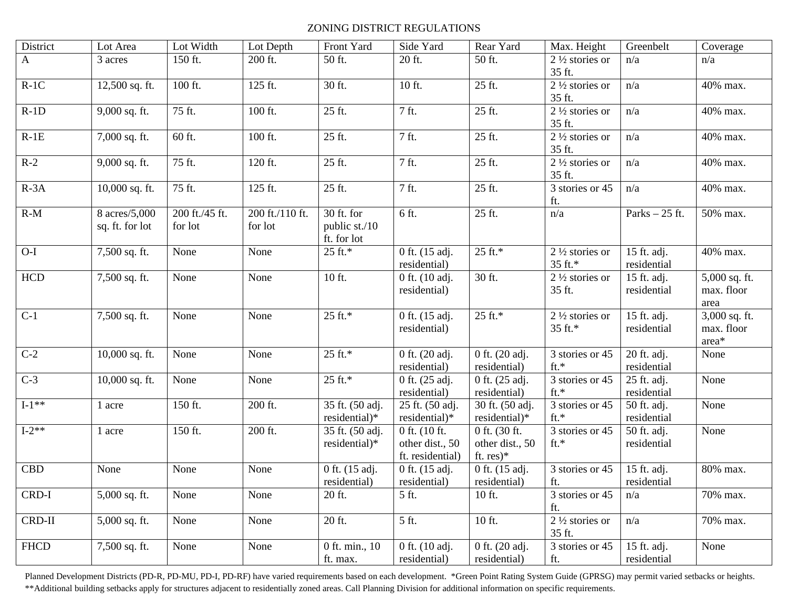## ZONING DISTRICT REGULATIONS

| District     | Lot Area                         | Lot Width                 | Lot Depth                  | Front Yard                                 | Side Yard                                            | Rear Yard                                       | Max. Height                                                      | Greenbelt                  | Coverage                             |
|--------------|----------------------------------|---------------------------|----------------------------|--------------------------------------------|------------------------------------------------------|-------------------------------------------------|------------------------------------------------------------------|----------------------------|--------------------------------------|
| $\mathbf{A}$ | 3 acres                          | 150 ft.                   | 200 ft.                    | 50 ft.                                     | 20 ft.                                               | 50 ft.                                          | $2\frac{1}{2}$ stories or<br>35 ft.                              | n/a                        | n/a                                  |
| $R-1C$       | 12,500 sq. ft.                   | 100 ft.                   | 125 ft.                    | 30 ft.                                     | 10 ft.                                               | 25 ft.                                          | $2\frac{1}{2}$ stories or<br>35 ft.                              | n/a                        | 40% max.                             |
| $R-1D$       | 9,000 sq. ft.                    | 75 ft.                    | 100 ft.                    | 25 ft.                                     | 7 ft.                                                | 25 ft.                                          | $2\frac{1}{2}$ stories or<br>35 ft.                              | n/a                        | 40% max.                             |
| $R-1E$       | 7,000 sq. ft.                    | 60 ft.                    | 100 ft.                    | 25 ft.                                     | 7 ft.                                                | 25 ft.                                          | $2\frac{1}{2}$ stories or<br>35 ft.                              | n/a                        | 40% max.                             |
| $R-2$        | 9,000 sq. ft.                    | 75 ft.                    | 120 ft.                    | 25 ft.                                     | 7 ft.                                                | 25 ft.                                          | $2\frac{1}{2}$ stories or<br>35 ft.                              | n/a                        | 40% max.                             |
| $R-3A$       | 10,000 sq. ft.                   | 75 ft.                    | 125 ft.                    | 25 ft.                                     | 7 ft.                                                | 25 ft.                                          | 3 stories or 45<br>ft.                                           | n/a                        | 40% max.                             |
| $R-M$        | 8 acres/5,000<br>sq. ft. for lot | 200 ft./45 ft.<br>for lot | 200 ft./110 ft.<br>for lot | 30 ft. for<br>public st./10<br>ft. for lot | 6 ft.                                                | 25 ft.                                          | n/a                                                              | Parks $-25$ ft.            | 50% max.                             |
| $O-I$        | 7,500 sq. ft.                    | None                      | None                       | 25 ft.*                                    | 0 ft. (15 adj.<br>residential)                       | $25$ ft.*                                       | $\overline{2}$ <sup>1</sup> / <sub>2</sub> stories or<br>35 ft.* | 15 ft. adj.<br>residential | 40% max.                             |
| HCD          | 7,500 sq. ft.                    | None                      | None                       | 10 ft.                                     | 0 ft. (10 adj.<br>residential)                       | 30 ft.                                          | $2\frac{1}{2}$ stories or<br>35 ft.                              | 15 ft. adj.<br>residential | 5,000 sq. ft.<br>max. floor<br>area  |
| $C-1$        | 7,500 sq. ft.                    | None                      | None                       | 25 ft.*                                    | 0 ft. (15 adj.<br>residential)                       | 25 ft.*                                         | $2\frac{1}{2}$ stories or<br>35 ft.*                             | 15 ft. adj.<br>residential | 3,000 sq. ft.<br>max. floor<br>area* |
| $C-2$        | $\overline{10,000}$ sq. ft.      | None                      | None                       | 25 ft.*                                    | 0 ft. (20 adj.<br>residential)                       | 0 ft. (20 adj.<br>residential)                  | 3 stories or 45<br>$ft.*$                                        | 20 ft. adj.<br>residential | None                                 |
| $C-3$        | 10,000 sq. ft.                   | None                      | None                       | 25 ft.*                                    | 0 ft. (25 adj.<br>residential)                       | 0 ft. (25 adj.<br>residential)                  | 3 stories or 45<br>$ft.*$                                        | 25 ft. adj.<br>residential | None                                 |
| $I-1**$      | 1 acre                           | 150 ft.                   | 200 ft.                    | 35 ft. (50 adj.<br>residential)*           | 25 ft. (50 adj.<br>residential)*                     | 30 ft. (50 adj.<br>residential)*                | 3 stories or 45<br>$ft.*$                                        | 50 ft. adj.<br>residential | None                                 |
| $I-2**$      | 1 acre                           | 150 ft.                   | 200 ft.                    | 35 ft. (50 adj.<br>residential)*           | 0 ft. (10 ft.<br>other dist., 50<br>ft. residential) | 0 ft. (30 ft.<br>other dist., 50<br>ft. $res)*$ | 3 stories or 45<br>$ft.*$                                        | 50 ft. adj.<br>residential | None                                 |
| CBD          | None                             | None                      | None                       | 0 ft. (15 adj.<br>residential)             | 0 ft. (15 adj.<br>residential)                       | 0 ft. (15 adj.<br>residential)                  | 3 stories or 45<br>ft.                                           | 15 ft. adj.<br>residential | 80% max.                             |
| CRD-I        | 5,000 sq. ft.                    | None                      | None                       | 20 ft.                                     | 5 ft.                                                | 10 ft.                                          | 3 stories or 45<br>ft.                                           | n/a                        | 70% max.                             |
| $CRD-II$     | $5,000$ sq. ft.                  | None                      | None                       | 20 ft.                                     | 5 ft.                                                | 10 ft.                                          | $2\frac{1}{2}$ stories or<br>35 ft.                              | n/a                        | 70% max.                             |
| <b>FHCD</b>  | 7,500 sq. ft.                    | None                      | None                       | 0 ft. min., 10<br>ft. max.                 | 0 ft. (10 adj.<br>residential)                       | 0 ft. (20 adj.<br>residential)                  | 3 stories or 45<br>ft.                                           | 15 ft. adj.<br>residential | None                                 |

Planned Development Districts (PD-R, PD-MU, PD-I, PD-RF) have varied requirements based on each development. \*Green Point Rating System Guide (GPRSG) may permit varied setbacks or heights. \*\*Additional building setbacks apply for structures adjacent to residentially zoned areas. Call Planning Division for additional information on specific requirements.